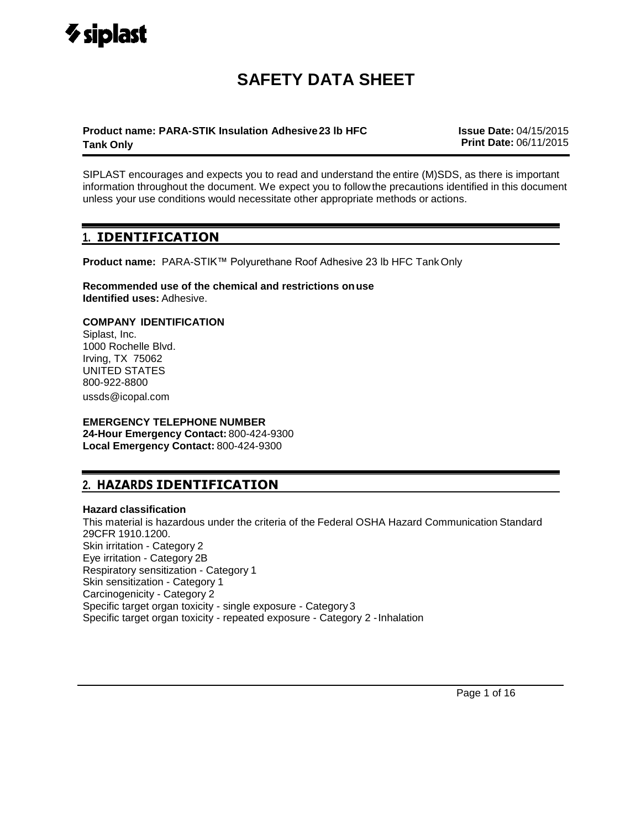# **SAFETY DATA SHEET**

## **Product name: PARA-STIK Insulation Adhesive23 lb HFC Tank Only**

**Issue Date:** 04/15/2015 **Print Date:** 06/11/2015

SIPLAST encourages and expects you to read and understand the entire (M)SDS, as there is important information throughout the document. We expect you to followthe precautions identified in this document unless your use conditions would necessitate other appropriate methods or actions.

## **1. IDENTIFICATION**

**Product name:** PARA-STIK™ Polyurethane Roof Adhesive 23 lb HFC TankOnly

**Recommended use of the chemical and restrictions onuse Identified uses:** Adhesive.

## **COMPANY IDENTIFICATION**

Siplast, Inc. 1000 Rochelle Blvd. Irving, TX 75062 UNITED STATES 800-922-8800 ussds@icopal.com

## **EMERGENCY TELEPHONE NUMBER**

**24-Hour Emergency Contact:** 800-424-9300 **Local Emergency Contact:** 800-424-9300

## **2. HAZARDS IDENTIFICATION**

## **Hazard classification**

This material is hazardous under the criteria of the Federal OSHA Hazard Communication Standard 29CFR 1910.1200. Skin irritation - Category 2 Eye irritation - Category 2B Respiratory sensitization - Category 1 Skin sensitization - Category 1 Carcinogenicity - Category 2 Specific target organ toxicity - single exposure - Category3 Specific target organ toxicity - repeated exposure - Category 2 -Inhalation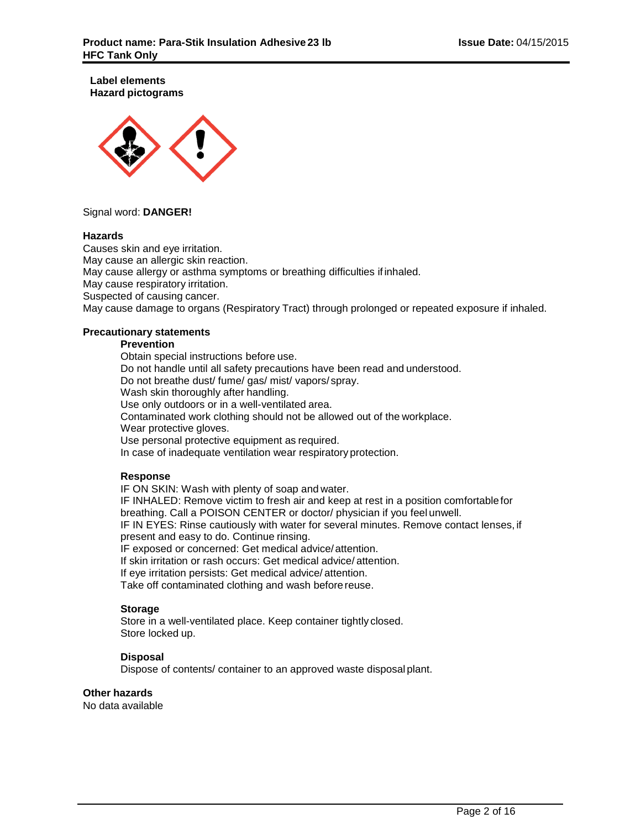**Label elements Hazard pictograms**



## Signal word: **DANGER!**

#### **Hazards**

Causes skin and eye irritation. May cause an allergic skin reaction. May cause allergy or asthma symptoms or breathing difficulties if inhaled. May cause respiratory irritation. Suspected of causing cancer. May cause damage to organs (Respiratory Tract) through prolonged or repeated exposure if inhaled.

## **Precautionary statements**

### **Prevention**

Obtain special instructions before use. Do not handle until all safety precautions have been read and understood. Do not breathe dust/ fume/ gas/ mist/ vapors/ spray. Wash skin thoroughly after handling. Use only outdoors or in a well-ventilated area. Contaminated work clothing should not be allowed out of the workplace. Wear protective gloves. Use personal protective equipment as required. In case of inadequate ventilation wear respiratory protection.

## **Response**

IF ON SKIN: Wash with plenty of soap and water.

IF INHALED: Remove victim to fresh air and keep at rest in a position comfortablefor breathing. Call a POISON CENTER or doctor/ physician if you feel unwell. IF IN EYES: Rinse cautiously with water for several minutes. Remove contact lenses, if present and easy to do. Continue rinsing.

IF exposed or concerned: Get medical advice/attention.

If skin irritation or rash occurs: Get medical advice/ attention.

If eye irritation persists: Get medical advice/ attention.

Take off contaminated clothing and wash beforereuse.

## **Storage**

Store in a well-ventilated place. Keep container tightly closed. Store locked up.

## **Disposal**

Dispose of contents/ container to an approved waste disposal plant.

## **Other hazards**

No data available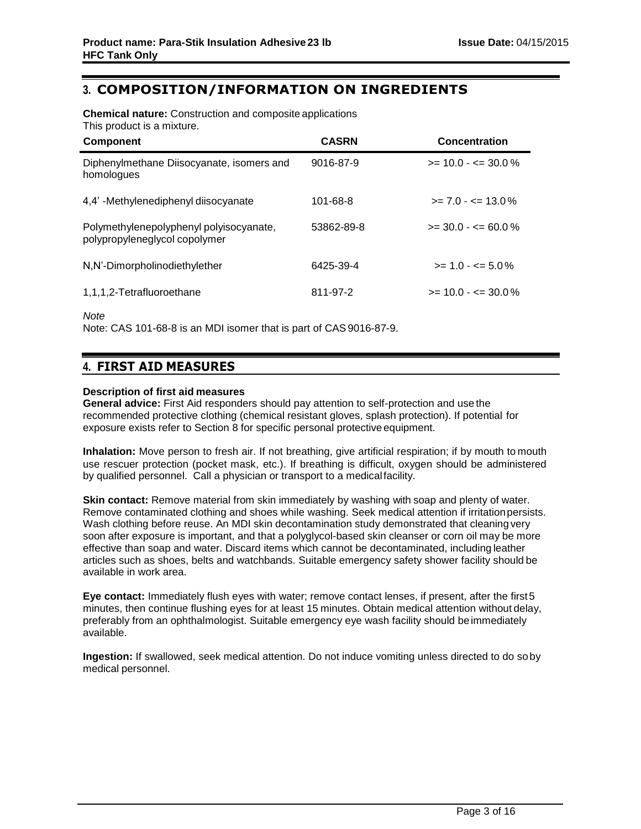## **3. COMPOSITION/INFORMATION ON INGREDIENTS**

**Chemical nature:** Construction and composite applications This product is a mixture.

| <b>Component</b>                                                         | <b>CASRN</b> | <b>Concentration</b>    |
|--------------------------------------------------------------------------|--------------|-------------------------|
| Diphenylmethane Diisocyanate, isomers and<br>homologues                  | 9016-87-9    | $>= 10.0 - \le 30.0 \%$ |
| 4,4'-Methylenediphenyl diisocyanate                                      | 101-68-8     | $>= 7.0 - \le 13.0\%$   |
| Polymethylenepolyphenyl polyisocyanate,<br>polypropyleneglycol copolymer | 53862-89-8   | $>=$ 30.0 - $<=$ 60.0 % |
| N,N'-Dimorpholinodiethylether                                            | 6425-39-4    | $>= 1.0 - 5.0\%$        |
| 1,1,1,2-Tetrafluoroethane                                                | 811-97-2     | $>= 10.0 - \le 30.0\%$  |
|                                                                          |              |                         |

*Note*

Note: CAS 101-68-8 is an MDI isomer that is part of CAS9016-87-9.

## **4. FIRST AID MEASURES**

## **Description of first aid measures**

**General advice:** First Aid responders should pay attention to self-protection and use the recommended protective clothing (chemical resistant gloves, splash protection). If potential for exposure exists refer to Section 8 for specific personal protective equipment.

**Inhalation:** Move person to fresh air. If not breathing, give artificial respiration; if by mouth to mouth use rescuer protection (pocket mask, etc.). If breathing is difficult, oxygen should be administered by qualified personnel. Call a physician or transport to a medicalfacility.

**Skin contact:** Remove material from skin immediately by washing with soap and plenty of water. Remove contaminated clothing and shoes while washing. Seek medical attention if irritation persists. Wash clothing before reuse. An MDI skin decontamination study demonstrated that cleaning very soon after exposure is important, and that a polyglycol-based skin cleanser or corn oil may be more effective than soap and water. Discard items which cannot be decontaminated, including leather articles such as shoes, belts and watchbands. Suitable emergency safety shower facility should be available in work area.

**Eye contact:** Immediately flush eyes with water; remove contact lenses, if present, after the first5 minutes, then continue flushing eyes for at least 15 minutes. Obtain medical attention without delay, preferably from an ophthalmologist. Suitable emergency eye wash facility should be immediately available.

**Ingestion:** If swallowed, seek medical attention. Do not induce vomiting unless directed to do soby medical personnel.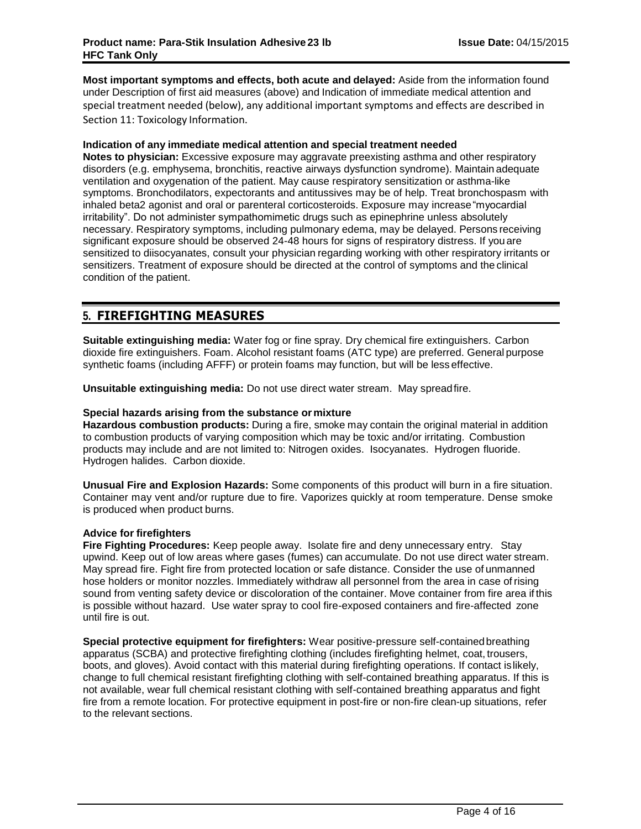**Most important symptoms and effects, both acute and delayed:** Aside from the information found under Description of first aid measures (above) and Indication of immediate medical attention and special treatment needed (below), any additional important symptoms and effects are described in Section 11: Toxicology Information.

## **Indication of any immediate medical attention and special treatment needed**

**Notes to physician:** Excessive exposure may aggravate preexisting asthma and other respiratory disorders (e.g. emphysema, bronchitis, reactive airways dysfunction syndrome). Maintain adequate ventilation and oxygenation of the patient. May cause respiratory sensitization or asthma-like symptoms. Bronchodilators, expectorants and antitussives may be of help. Treat bronchospasm with inhaled beta2 agonist and oral or parenteral corticosteroids. Exposure may increase"myocardial irritability". Do not administer sympathomimetic drugs such as epinephrine unless absolutely necessary. Respiratory symptoms, including pulmonary edema, may be delayed. Persons receiving significant exposure should be observed 24-48 hours for signs of respiratory distress. If youare sensitized to diisocyanates, consult your physician regarding working with other respiratory irritants or sensitizers. Treatment of exposure should be directed at the control of symptoms and the clinical condition of the patient.

## **5. FIREFIGHTING MEASURES**

**Suitable extinguishing media:** Water fog or fine spray. Dry chemical fire extinguishers. Carbon dioxide fire extinguishers. Foam. Alcohol resistant foams (ATC type) are preferred. General purpose synthetic foams (including AFFF) or protein foams may function, but will be less effective.

**Unsuitable extinguishing media:** Do not use direct water stream. May spreadfire.

### **Special hazards arising from the substance or mixture**

**Hazardous combustion products:** During a fire, smoke may contain the original material in addition to combustion products of varying composition which may be toxic and/or irritating. Combustion products may include and are not limited to: Nitrogen oxides. Isocyanates. Hydrogen fluoride. Hydrogen halides. Carbon dioxide.

**Unusual Fire and Explosion Hazards:** Some components of this product will burn in a fire situation. Container may vent and/or rupture due to fire. Vaporizes quickly at room temperature. Dense smoke is produced when product burns.

## **Advice for firefighters**

**Fire Fighting Procedures:** Keep people away. Isolate fire and deny unnecessary entry. Stay upwind. Keep out of low areas where gases (fumes) can accumulate. Do not use direct water stream. May spread fire. Fight fire from protected location or safe distance. Consider the use of unmanned hose holders or monitor nozzles. Immediately withdraw all personnel from the area in case of rising sound from venting safety device or discoloration of the container. Move container from fire area if this is possible without hazard. Use water spray to cool fire-exposed containers and fire-affected zone until fire is out.

**Special protective equipment for firefighters:** Wear positive-pressure self-containedbreathing apparatus (SCBA) and protective firefighting clothing (includes firefighting helmet, coat, trousers, boots, and gloves). Avoid contact with this material during firefighting operations. If contact islikely, change to full chemical resistant firefighting clothing with self-contained breathing apparatus. If this is not available, wear full chemical resistant clothing with self-contained breathing apparatus and fight fire from a remote location. For protective equipment in post-fire or non-fire clean-up situations, refer to the relevant sections.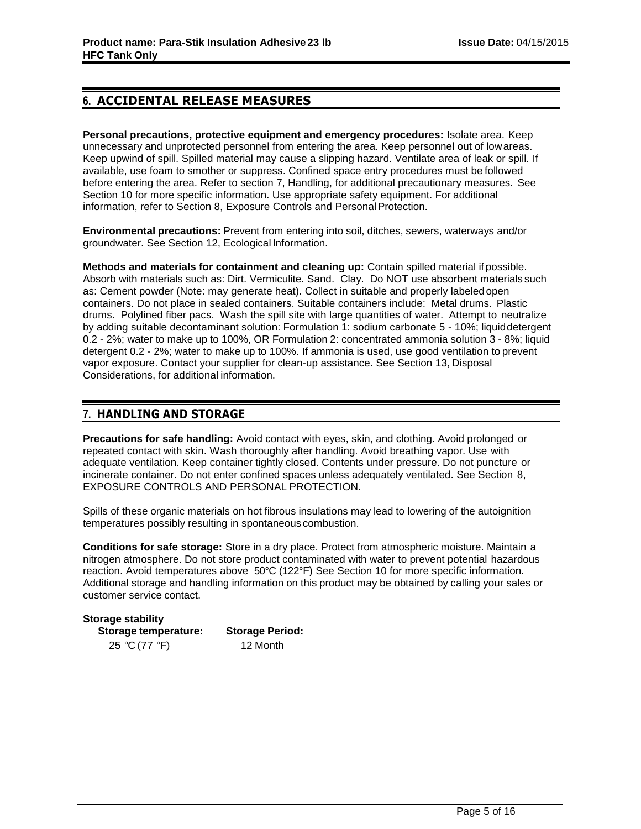## **6. ACCIDENTAL RELEASE MEASURES**

**Personal precautions, protective equipment and emergency procedures:** Isolate area. Keep unnecessary and unprotected personnel from entering the area. Keep personnel out of lowareas. Keep upwind of spill. Spilled material may cause a slipping hazard. Ventilate area of leak or spill. If available, use foam to smother or suppress. Confined space entry procedures must be followed before entering the area. Refer to section 7, Handling, for additional precautionary measures. See Section 10 for more specific information. Use appropriate safety equipment. For additional information, refer to Section 8, Exposure Controls and Personal Protection.

**Environmental precautions:** Prevent from entering into soil, ditches, sewers, waterways and/or groundwater. See Section 12, Ecological Information.

**Methods and materials for containment and cleaning up:** Contain spilled material if possible. Absorb with materials such as: Dirt. Vermiculite. Sand. Clay. Do NOT use absorbent materials such as: Cement powder (Note: may generate heat). Collect in suitable and properly labeled open containers. Do not place in sealed containers. Suitable containers include: Metal drums. Plastic drums. Polylined fiber pacs. Wash the spill site with large quantities of water. Attempt to neutralize by adding suitable decontaminant solution: Formulation 1: sodium carbonate 5 - 10%; liquiddetergent 0.2 - 2%; water to make up to 100%, OR Formulation 2: concentrated ammonia solution 3 - 8%; liquid detergent 0.2 - 2%; water to make up to 100%. If ammonia is used, use good ventilation to prevent vapor exposure. Contact your supplier for clean-up assistance. See Section 13, Disposal Considerations, for additional information.

## **7. HANDLING AND STORAGE**

**Precautions for safe handling:** Avoid contact with eyes, skin, and clothing. Avoid prolonged or repeated contact with skin. Wash thoroughly after handling. Avoid breathing vapor. Use with adequate ventilation. Keep container tightly closed. Contents under pressure. Do not puncture or incinerate container. Do not enter confined spaces unless adequately ventilated. See Section 8, EXPOSURE CONTROLS AND PERSONAL PROTECTION.

Spills of these organic materials on hot fibrous insulations may lead to lowering of the autoignition temperatures possibly resulting in spontaneous combustion.

**Conditions for safe storage:** Store in a dry place. Protect from atmospheric moisture. Maintain a nitrogen atmosphere. Do not store product contaminated with water to prevent potential hazardous reaction. Avoid temperatures above 50°C (122°F) See Section 10 for more specific information. Additional storage and handling information on this product may be obtained by calling your sales or customer service contact.

| <b>Storage stability</b> |                        |
|--------------------------|------------------------|
| Storage temperature:     | <b>Storage Period:</b> |
| 25 °C (77 °F)            | 12 Month               |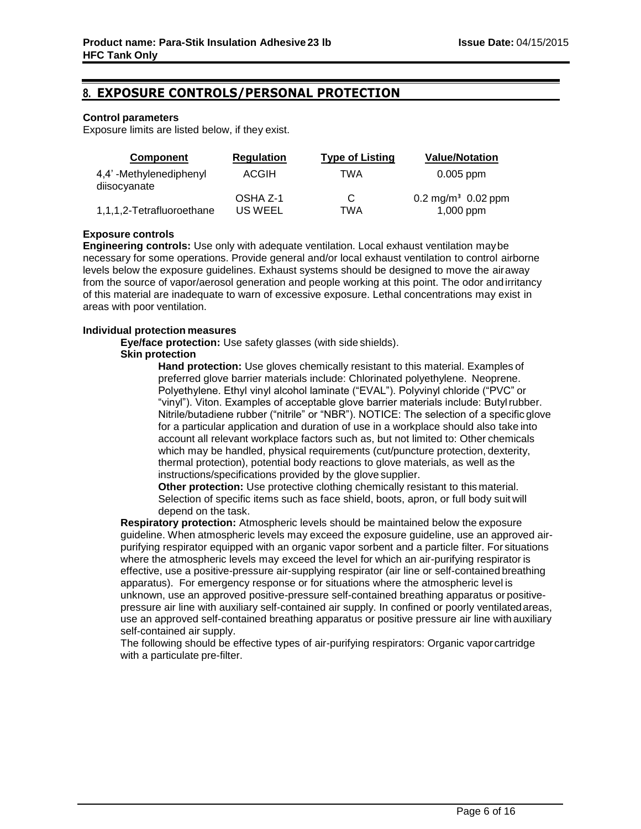## **8. EXPOSURE CONTROLS/PERSONAL PROTECTION**

## **Control parameters**

Exposure limits are listed below, if they exist.

| Component                              | <b>Regulation</b>   | <b>Type of Listing</b> | <b>Value/Notation</b>                      |
|----------------------------------------|---------------------|------------------------|--------------------------------------------|
| 4,4'-Methylenediphenyl<br>diisocyanate | <b>ACGIH</b>        | TWA                    | $0.005$ ppm                                |
| 1,1,1,2-Tetrafluoroethane              | OSHA Z-1<br>US WEEL | C.<br>TWA              | $0.2 \text{ mg/m}^3$ 0.02 ppm<br>1,000 ppm |

## **Exposure controls**

**Engineering controls:** Use only with adequate ventilation. Local exhaust ventilation maybe necessary for some operations. Provide general and/or local exhaust ventilation to control airborne levels below the exposure guidelines. Exhaust systems should be designed to move the airaway from the source of vapor/aerosol generation and people working at this point. The odor and irritancy of this material are inadequate to warn of excessive exposure. Lethal concentrations may exist in areas with poor ventilation.

## **Individual protection measures**

**Eye/face protection:** Use safety glasses (with side shields).

## **Skin protection**

**Hand protection:** Use gloves chemically resistant to this material. Examples of preferred glove barrier materials include: Chlorinated polyethylene. Neoprene. Polyethylene. Ethyl vinyl alcohol laminate ("EVAL"). Polyvinyl chloride ("PVC" or "vinyl"). Viton. Examples of acceptable glove barrier materials include: Butylrubber. Nitrile/butadiene rubber ("nitrile" or "NBR"). NOTICE: The selection of a specific glove for a particular application and duration of use in a workplace should also take into account all relevant workplace factors such as, but not limited to: Other chemicals which may be handled, physical requirements (cut/puncture protection, dexterity, thermal protection), potential body reactions to glove materials, as well as the instructions/specifications provided by the glove supplier.

**Other protection:** Use protective clothing chemically resistant to this material. Selection of specific items such as face shield, boots, apron, or full body suit will depend on the task.

**Respiratory protection:** Atmospheric levels should be maintained below the exposure guideline. When atmospheric levels may exceed the exposure guideline, use an approved airpurifying respirator equipped with an organic vapor sorbent and a particle filter. For situations where the atmospheric levels may exceed the level for which an air-purifying respirator is effective, use a positive-pressure air-supplying respirator (air line or self-contained breathing apparatus). For emergency response or for situations where the atmospheric level is unknown, use an approved positive-pressure self-contained breathing apparatus or positivepressure air line with auxiliary self-contained air supply. In confined or poorly ventilatedareas, use an approved self-contained breathing apparatus or positive pressure air line with auxiliary self-contained air supply.

The following should be effective types of air-purifying respirators: Organic vaporcartridge with a particulate pre-filter.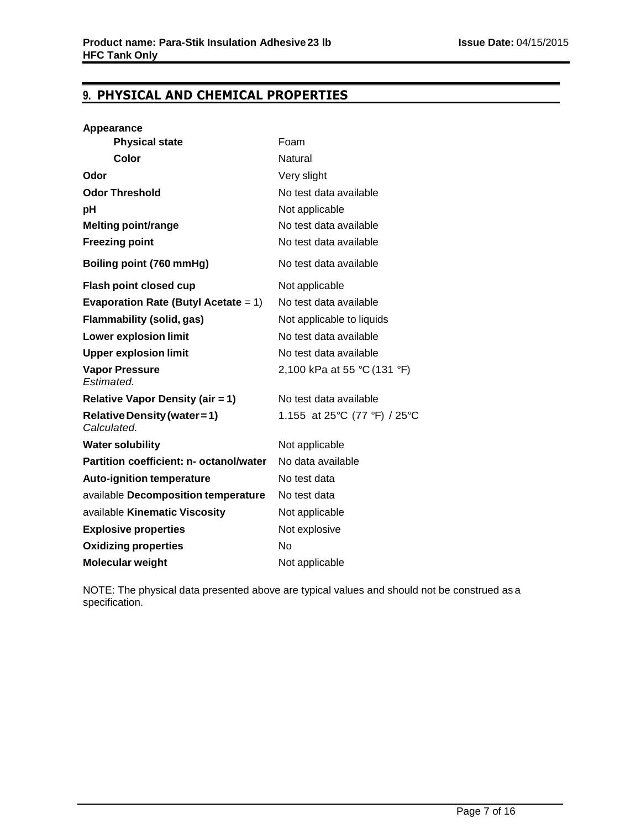## **9. PHYSICAL AND CHEMICAL PROPERTIES**

| <b>Appearance</b>                           |                              |
|---------------------------------------------|------------------------------|
| <b>Physical state</b>                       | Foam                         |
| Color                                       | Natural                      |
| Odor                                        | Very slight                  |
| <b>Odor Threshold</b>                       | No test data available       |
| рH                                          | Not applicable               |
| <b>Melting point/range</b>                  | No test data available       |
| <b>Freezing point</b>                       | No test data available       |
| Boiling point (760 mmHg)                    | No test data available       |
| <b>Flash point closed cup</b>               | Not applicable               |
| Evaporation Rate (Butyl Acetate = $1$ )     | No test data available       |
| <b>Flammability (solid, gas)</b>            | Not applicable to liquids    |
| <b>Lower explosion limit</b>                | No test data available       |
| <b>Upper explosion limit</b>                | No test data available       |
| <b>Vapor Pressure</b><br>Estimated.         | 2,100 kPa at 55 °C (131 °F)  |
| <b>Relative Vapor Density (air = 1)</b>     | No test data available       |
| Relative Density (water = 1)<br>Calculated. | 1.155 at 25°C (77 °F) / 25°C |
| <b>Water solubility</b>                     | Not applicable               |
| Partition coefficient: n- octanol/water     | No data available            |
| <b>Auto-ignition temperature</b>            | No test data                 |
| available Decomposition temperature         | No test data                 |
| available Kinematic Viscosity               | Not applicable               |
| <b>Explosive properties</b>                 | Not explosive                |
| <b>Oxidizing properties</b>                 | No                           |
| Molecular weight                            | Not applicable               |

NOTE: The physical data presented above are typical values and should not be construed as a specification.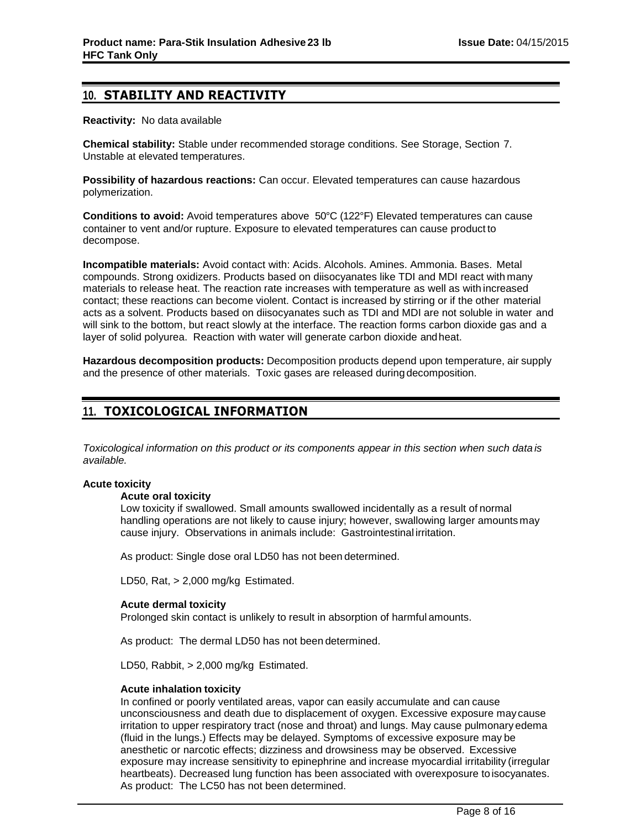## **10. STABILITY AND REACTIVITY**

**Reactivity:** No data available

**Chemical stability:** Stable under recommended storage conditions. See Storage, Section 7. Unstable at elevated temperatures.

**Possibility of hazardous reactions:** Can occur. Elevated temperatures can cause hazardous polymerization.

**Conditions to avoid:** Avoid temperatures above 50°C (122°F) Elevated temperatures can cause container to vent and/or rupture. Exposure to elevated temperatures can cause product to decompose.

**Incompatible materials:** Avoid contact with: Acids. Alcohols. Amines. Ammonia. Bases. Metal compounds. Strong oxidizers. Products based on diisocyanates like TDI and MDI react with many materials to release heat. The reaction rate increases with temperature as well as with increased contact; these reactions can become violent. Contact is increased by stirring or if the other material acts as a solvent. Products based on diisocyanates such as TDI and MDI are not soluble in water and will sink to the bottom, but react slowly at the interface. The reaction forms carbon dioxide gas and a layer of solid polyurea. Reaction with water will generate carbon dioxide andheat.

**Hazardous decomposition products:** Decomposition products depend upon temperature, air supply and the presence of other materials. Toxic gases are released during decomposition.

## **11. TOXICOLOGICAL INFORMATION**

*Toxicological information on this product or its components appear in this section when such data is available.*

## **Acute toxicity**

## **Acute oral toxicity**

Low toxicity if swallowed. Small amounts swallowed incidentally as a result of normal handling operations are not likely to cause injury; however, swallowing larger amounts may cause injury. Observations in animals include: Gastrointestinal irritation.

As product: Single dose oral LD50 has not been determined.

LD50, Rat, > 2,000 mg/kg Estimated.

## **Acute dermal toxicity**

Prolonged skin contact is unlikely to result in absorption of harmful amounts.

As product: The dermal LD50 has not been determined.

LD50, Rabbit, > 2,000 mg/kg Estimated.

## **Acute inhalation toxicity**

In confined or poorly ventilated areas, vapor can easily accumulate and can cause unconsciousness and death due to displacement of oxygen. Excessive exposure may cause irritation to upper respiratory tract (nose and throat) and lungs. May cause pulmonary edema (fluid in the lungs.) Effects may be delayed. Symptoms of excessive exposure may be anesthetic or narcotic effects; dizziness and drowsiness may be observed. Excessive exposure may increase sensitivity to epinephrine and increase myocardial irritability (irregular heartbeats). Decreased lung function has been associated with overexposure to isocyanates. As product: The LC50 has not been determined.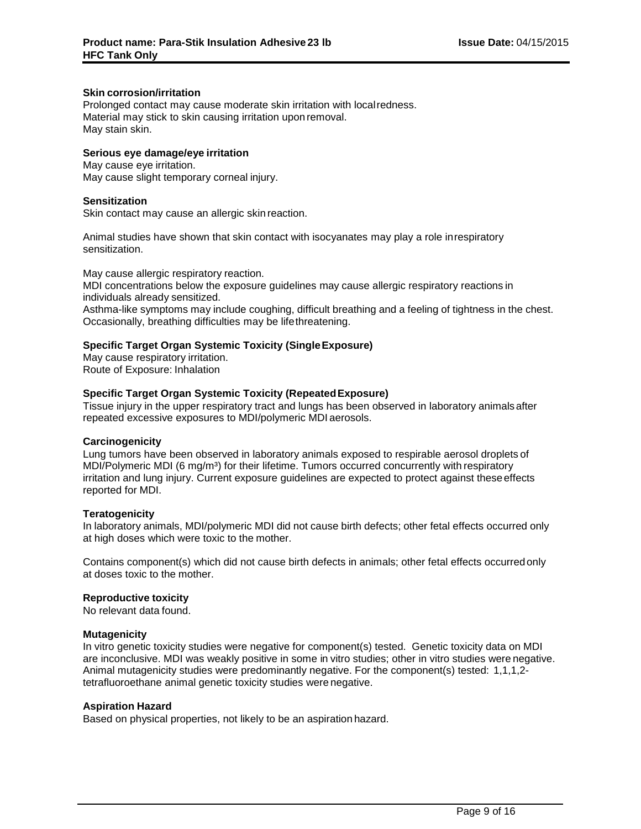## **Skin corrosion/irritation**

Prolonged contact may cause moderate skin irritation with localredness. Material may stick to skin causing irritation uponremoval. May stain skin.

## **Serious eye damage/eye irritation**

May cause eye irritation. May cause slight temporary corneal injury.

## **Sensitization**

Skin contact may cause an allergic skin reaction.

Animal studies have shown that skin contact with isocyanates may play a role inrespiratory sensitization.

May cause allergic respiratory reaction. MDI concentrations below the exposure guidelines may cause allergic respiratory reactions in individuals already sensitized. Asthma-like symptoms may include coughing, difficult breathing and a feeling of tightness in the chest. Occasionally, breathing difficulties may be lifethreatening.

## **Specific Target Organ Systemic Toxicity (SingleExposure)**

May cause respiratory irritation. Route of Exposure: Inhalation

## **Specific Target Organ Systemic Toxicity (RepeatedExposure)**

Tissue injury in the upper respiratory tract and lungs has been observed in laboratory animalsafter repeated excessive exposures to MDI/polymeric MDI aerosols.

## **Carcinogenicity**

Lung tumors have been observed in laboratory animals exposed to respirable aerosol droplets of MDI/Polymeric MDI (6 mg/m<sup>3</sup>) for their lifetime. Tumors occurred concurrently with respiratory irritation and lung injury. Current exposure guidelines are expected to protect against these effects reported for MDI.

## **Teratogenicity**

In laboratory animals, MDI/polymeric MDI did not cause birth defects; other fetal effects occurred only at high doses which were toxic to the mother.

Contains component(s) which did not cause birth defects in animals; other fetal effects occurredonly at doses toxic to the mother.

## **Reproductive toxicity**

No relevant data found.

## **Mutagenicity**

In vitro genetic toxicity studies were negative for component(s) tested. Genetic toxicity data on MDI are inconclusive. MDI was weakly positive in some in vitro studies; other in vitro studies were negative. Animal mutagenicity studies were predominantly negative. For the component(s) tested: 1,1,1,2 tetrafluoroethane animal genetic toxicity studies were negative.

## **Aspiration Hazard**

Based on physical properties, not likely to be an aspiration hazard.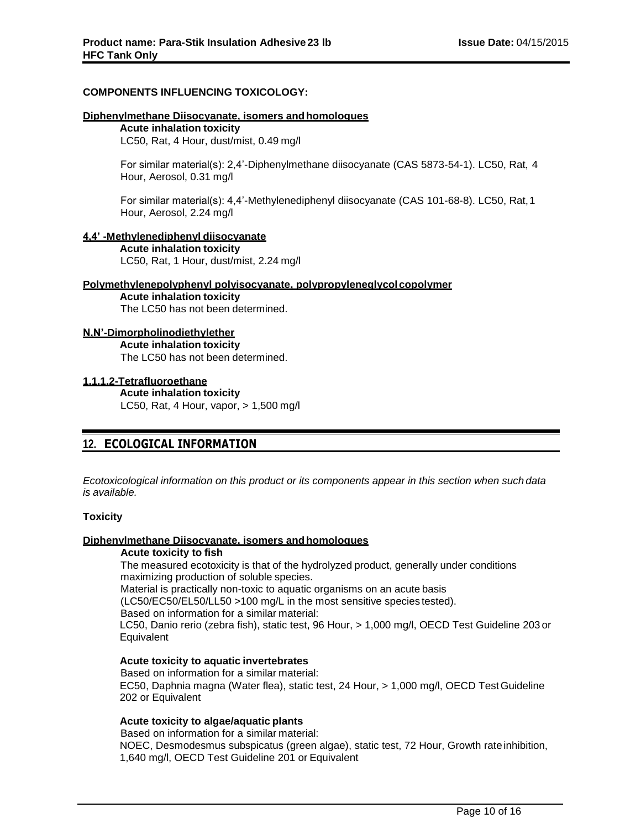## **COMPONENTS INFLUENCING TOXICOLOGY:**

#### **Diphenylmethane Diisocyanate, isomers andhomologues**

#### **Acute inhalation toxicity** LC50, Rat, 4 Hour, dust/mist, 0.49 mg/l

For similar material(s): 2,4'-Diphenylmethane diisocyanate (CAS 5873-54-1). LC50, Rat, 4 Hour, Aerosol, 0.31 mg/l

For similar material(s): 4,4'-Methylenediphenyl diisocyanate (CAS 101-68-8). LC50, Rat,1 Hour, Aerosol, 2.24 mg/l

#### **4,4' -Methylenediphenyl diisocyanate**

**Acute inhalation toxicity** LC50, Rat, 1 Hour, dust/mist, 2.24 mg/l

#### **Polymethylenepolyphenyl polyisocyanate, polypropyleneglycolcopolymer**

**Acute inhalation toxicity** The LC50 has not been determined.

## **N,N'-Dimorpholinodiethylether**

**Acute inhalation toxicity** The LC50 has not been determined.

## **1,1,1,2-Tetrafluoroethane**

**Acute inhalation toxicity** LC50, Rat, 4 Hour, vapor, > 1,500 mg/l

## **12. ECOLOGICAL INFORMATION**

*Ecotoxicological information on this product or its components appear in this section when such data is available.*

## **Toxicity**

## **Diphenylmethane Diisocyanate, isomers andhomologues**

## **Acute toxicity to fish**

The measured ecotoxicity is that of the hydrolyzed product, generally under conditions maximizing production of soluble species.

Material is practically non-toxic to aquatic organisms on an acute basis

(LC50/EC50/EL50/LL50 >100 mg/L in the most sensitive species tested).

Based on information for a similar material:

LC50, Danio rerio (zebra fish), static test, 96 Hour, > 1,000 mg/l, OECD Test Guideline 203 or **Equivalent** 

## **Acute toxicity to aquatic invertebrates**

Based on information for a similar material: EC50, Daphnia magna (Water flea), static test, 24 Hour, > 1,000 mg/l, OECD TestGuideline 202 or Equivalent

## **Acute toxicity to algae/aquatic plants**

Based on information for a similar material: NOEC, Desmodesmus subspicatus (green algae), static test, 72 Hour, Growth rate inhibition, 1,640 mg/l, OECD Test Guideline 201 or Equivalent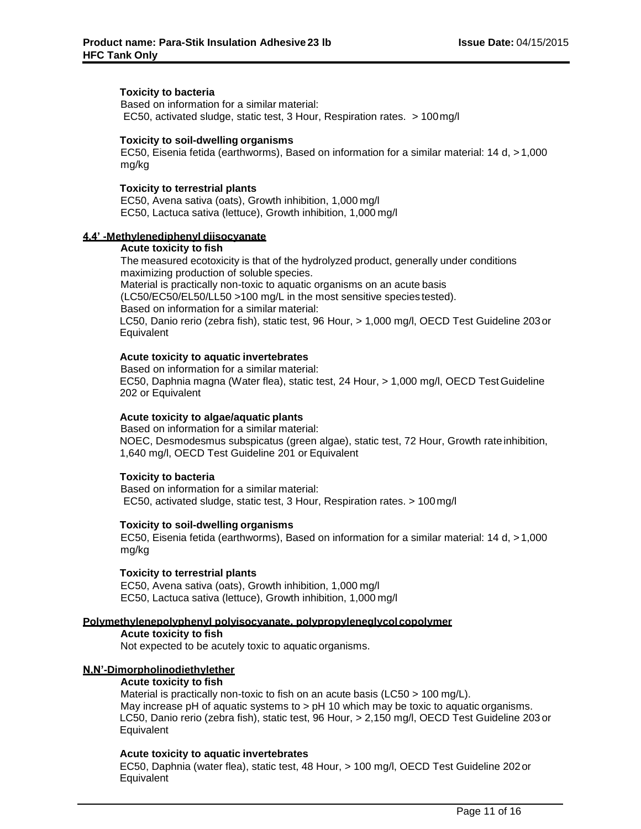## **Toxicity to bacteria**

Based on information for a similar material: EC50, activated sludge, static test, 3 Hour, Respiration rates. > 100mg/l

#### **Toxicity to soil-dwelling organisms**

EC50, Eisenia fetida (earthworms), Based on information for a similar material: 14 d, > 1,000 mg/kg

#### **Toxicity to terrestrial plants**

EC50, Avena sativa (oats), Growth inhibition, 1,000 mg/l EC50, Lactuca sativa (lettuce), Growth inhibition, 1,000 mg/l

#### **4,4' -Methylenediphenyl diisocyanate**

#### **Acute toxicity to fish**

The measured ecotoxicity is that of the hydrolyzed product, generally under conditions maximizing production of soluble species. Material is practically non-toxic to aquatic organisms on an acute basis (LC50/EC50/EL50/LL50 >100 mg/L in the most sensitive species tested). Based on information for a similar material: LC50, Danio rerio (zebra fish), static test, 96 Hour, > 1,000 mg/l, OECD Test Guideline 203 or **Equivalent** 

## **Acute toxicity to aquatic invertebrates**

Based on information for a similar material: EC50, Daphnia magna (Water flea), static test, 24 Hour, > 1,000 mg/l, OECD TestGuideline 202 or Equivalent

#### **Acute toxicity to algae/aquatic plants**

Based on information for a similar material: NOEC, Desmodesmus subspicatus (green algae), static test, 72 Hour, Growth rate inhibition, 1,640 mg/l, OECD Test Guideline 201 or Equivalent

#### **Toxicity to bacteria**

Based on information for a similar material: EC50, activated sludge, static test, 3 Hour, Respiration rates. > 100mg/l

#### **Toxicity to soil-dwelling organisms**

EC50, Eisenia fetida (earthworms), Based on information for a similar material: 14 d, > 1,000 mg/kg

## **Toxicity to terrestrial plants**

EC50, Avena sativa (oats), Growth inhibition, 1,000 mg/l EC50, Lactuca sativa (lettuce), Growth inhibition, 1,000 mg/l

#### **Polymethylenepolyphenyl polyisocyanate, polypropyleneglycolcopolymer**

**Acute toxicity to fish** Not expected to be acutely toxic to aquatic organisms.

## **N,N'-Dimorpholinodiethylether**

## **Acute toxicity to fish**

Material is practically non-toxic to fish on an acute basis (LC50 > 100 mg/L). May increase pH of aquatic systems to > pH 10 which may be toxic to aquatic organisms. LC50, Danio rerio (zebra fish), static test, 96 Hour, > 2,150 mg/l, OECD Test Guideline 203 or **Equivalent** 

#### **Acute toxicity to aquatic invertebrates**

EC50, Daphnia (water flea), static test, 48 Hour, > 100 mg/l, OECD Test Guideline 202or **Equivalent**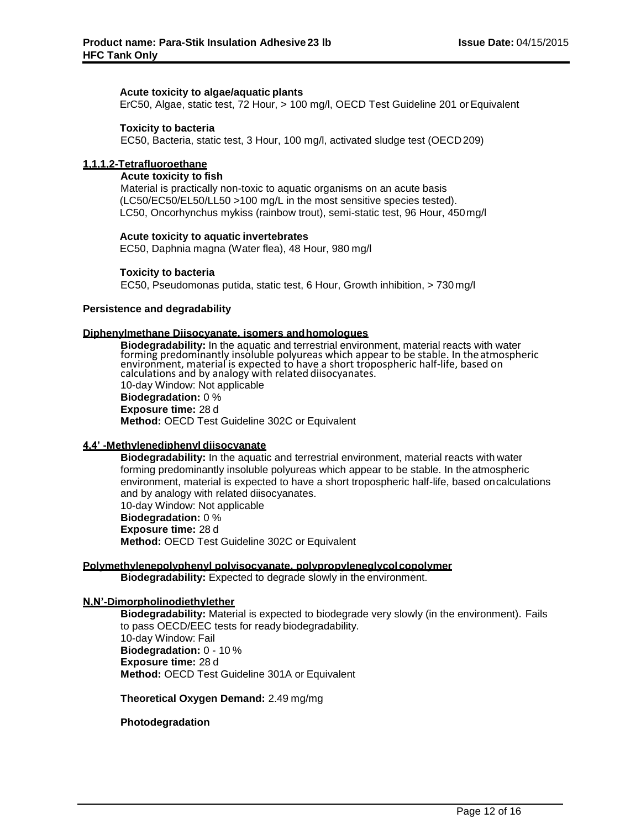#### **Acute toxicity to algae/aquatic plants**

ErC50, Algae, static test, 72 Hour, > 100 mg/l, OECD Test Guideline 201 orEquivalent

### **Toxicity to bacteria**

EC50, Bacteria, static test, 3 Hour, 100 mg/l, activated sludge test (OECD209)

## **1,1,1,2-Tetrafluoroethane**

#### **Acute toxicity to fish**

Material is practically non-toxic to aquatic organisms on an acute basis (LC50/EC50/EL50/LL50 >100 mg/L in the most sensitive species tested). LC50, Oncorhynchus mykiss (rainbow trout), semi-static test, 96 Hour, 450mg/l

#### **Acute toxicity to aquatic invertebrates**

EC50, Daphnia magna (Water flea), 48 Hour, 980 mg/l

#### **Toxicity to bacteria**

EC50, Pseudomonas putida, static test, 6 Hour, Growth inhibition, > 730 mg/l

#### **Persistence and degradability**

#### **Diphenylmethane Diisocyanate, isomers andhomologues**

**Biodegradability:** In the aquatic and terrestrial environment, material reacts with water forming predominantly insoluble polyureas which appear to be stable. In theatmospheric environment, material is expected to have a short tropospheric half-life, based on calculations and by analogy with related diisocyanates. 10-day Window: Not applicable **Biodegradation:** 0 % **Exposure time:** 28 d **Method:** OECD Test Guideline 302C or Equivalent

## **4,4' -Methylenediphenyl diisocyanate**

**Biodegradability:** In the aquatic and terrestrial environment, material reacts with water forming predominantly insoluble polyureas which appear to be stable. In the atmospheric environment, material is expected to have a short tropospheric half-life, based oncalculations and by analogy with related diisocyanates. 10-day Window: Not applicable **Biodegradation:** 0 % **Exposure time:** 28 d **Method:** OECD Test Guideline 302C or Equivalent

#### **Polymethylenepolyphenyl polyisocyanate, polypropyleneglycolcopolymer**

**Biodegradability:** Expected to degrade slowly in the environment.

## **N,N'-Dimorpholinodiethylether**

**Biodegradability:** Material is expected to biodegrade very slowly (in the environment). Fails to pass OECD/EEC tests for ready biodegradability. 10-day Window: Fail **Biodegradation:** 0 - 10 % **Exposure time:** 28 d **Method:** OECD Test Guideline 301A or Equivalent

**Theoretical Oxygen Demand:** 2.49 mg/mg

## **Photodegradation**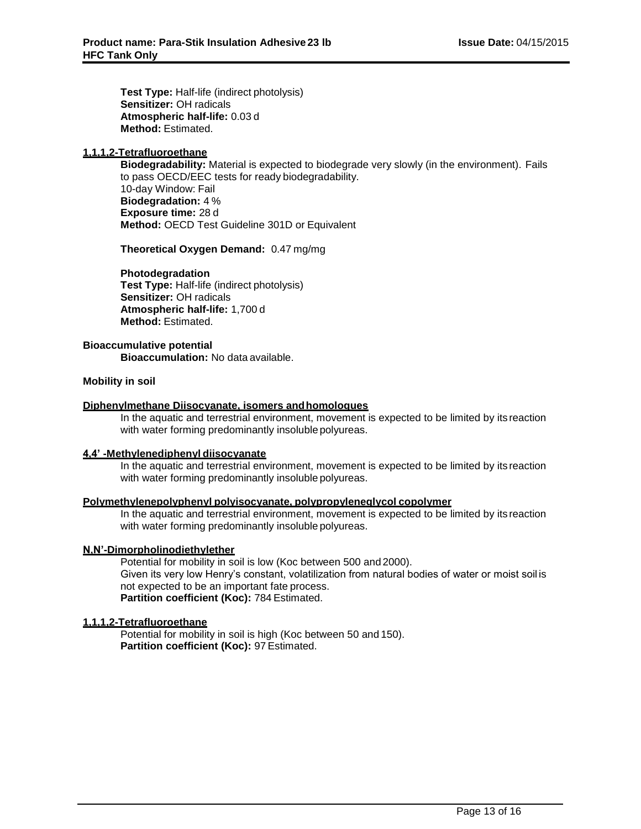**Test Type:** Half-life (indirect photolysis) **Sensitizer:** OH radicals **Atmospheric half-life:** 0.03 d **Method:** Estimated.

## **1,1,1,2-Tetrafluoroethane**

**Biodegradability:** Material is expected to biodegrade very slowly (in the environment). Fails to pass OECD/EEC tests for ready biodegradability. 10-day Window: Fail **Biodegradation:** 4 % **Exposure time:** 28 d **Method:** OECD Test Guideline 301D or Equivalent

**Theoretical Oxygen Demand:** 0.47 mg/mg

#### **Photodegradation**

**Test Type:** Half-life (indirect photolysis) **Sensitizer:** OH radicals **Atmospheric half-life:** 1,700 d **Method:** Estimated.

## **Bioaccumulative potential**

**Bioaccumulation:** No data available.

#### **Mobility in soil**

#### **Diphenylmethane Diisocyanate, isomers andhomologues**

In the aquatic and terrestrial environment, movement is expected to be limited by its reaction with water forming predominantly insoluble polyureas.

#### **4,4' -Methylenediphenyl diisocyanate**

In the aquatic and terrestrial environment, movement is expected to be limited by its reaction with water forming predominantly insoluble polyureas.

## **Polymethylenepolyphenyl polyisocyanate, polypropyleneglycol copolymer**

In the aquatic and terrestrial environment, movement is expected to be limited by its reaction with water forming predominantly insoluble polyureas.

## **N,N'-Dimorpholinodiethylether**

Potential for mobility in soil is low (Koc between 500 and 2000). Given its very low Henry's constant, volatilization from natural bodies of water or moist soil is not expected to be an important fate process. **Partition coefficient (Koc):** 784 Estimated.

## **1,1,1,2-Tetrafluoroethane**

Potential for mobility in soil is high (Koc between 50 and 150). **Partition coefficient (Koc):** 97 Estimated.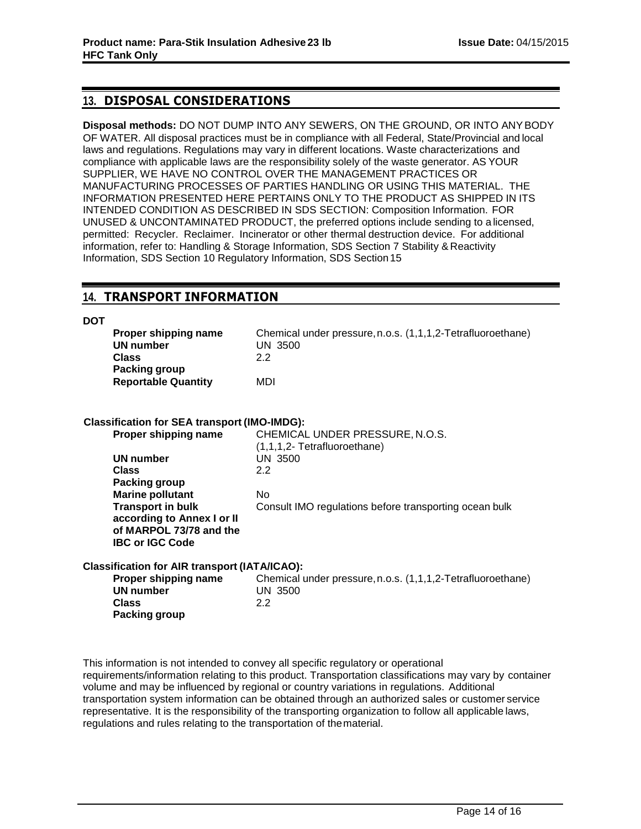## **13. DISPOSAL CONSIDERATIONS**

**Disposal methods:** DO NOT DUMP INTO ANY SEWERS, ON THE GROUND, OR INTO ANYBODY OF WATER. All disposal practices must be in compliance with all Federal, State/Provincial and local laws and regulations. Regulations may vary in different locations. Waste characterizations and compliance with applicable laws are the responsibility solely of the waste generator. AS YOUR SUPPLIER, WE HAVE NO CONTROL OVER THE MANAGEMENT PRACTICES OR MANUFACTURING PROCESSES OF PARTIES HANDLING OR USING THIS MATERIAL. THE INFORMATION PRESENTED HERE PERTAINS ONLY TO THE PRODUCT AS SHIPPED IN ITS INTENDED CONDITION AS DESCRIBED IN SDS SECTION: Composition Information. FOR UNUSED & UNCONTAMINATED PRODUCT, the preferred options include sending to a licensed, permitted: Recycler. Reclaimer. Incinerator or other thermal destruction device. For additional information, refer to: Handling & Storage Information, SDS Section 7 Stability & Reactivity Information, SDS Section 10 Regulatory Information, SDS Section15

## **14. TRANSPORT INFORMATION**

#### **DOT**

| Proper shipping name                        | Chemical under pressure, n.o.s. (1,1,1,2-Tetrafluoroethane) |
|---------------------------------------------|-------------------------------------------------------------|
| UN number                                   | UN 3500                                                     |
| <b>Class</b>                                | 22                                                          |
| Packing group<br><b>Reportable Quantity</b> | MDI                                                         |

## **Classification for SEA transport (IMO-IMDG):**

| Proper shipping name       | CHEMICAL UNDER PRESSURE, N.O.S.                        |
|----------------------------|--------------------------------------------------------|
|                            | (1,1,1,2- Tetrafluoroethane)                           |
| UN number                  | UN 3500                                                |
| <b>Class</b>               | 2.2                                                    |
| Packing group              |                                                        |
| <b>Marine pollutant</b>    | No.                                                    |
| <b>Transport in bulk</b>   | Consult IMO regulations before transporting ocean bulk |
| according to Annex I or II |                                                        |
| of MARPOL 73/78 and the    |                                                        |
| <b>IBC or IGC Code</b>     |                                                        |
|                            |                                                        |

## **Classification for AIR transport (IATA/ICAO):**

| Proper shipping name | Chemical under pressure, n.o.s. (1,1,1,2-Tetrafluoroethane) |
|----------------------|-------------------------------------------------------------|
| UN number            | UN 3500                                                     |
| Class                | 2.2                                                         |
| <b>Packing group</b> |                                                             |

This information is not intended to convey all specific regulatory or operational requirements/information relating to this product. Transportation classifications may vary by container volume and may be influenced by regional or country variations in regulations. Additional transportation system information can be obtained through an authorized sales or customer service representative. It is the responsibility of the transporting organization to follow all applicable laws, regulations and rules relating to the transportation of thematerial.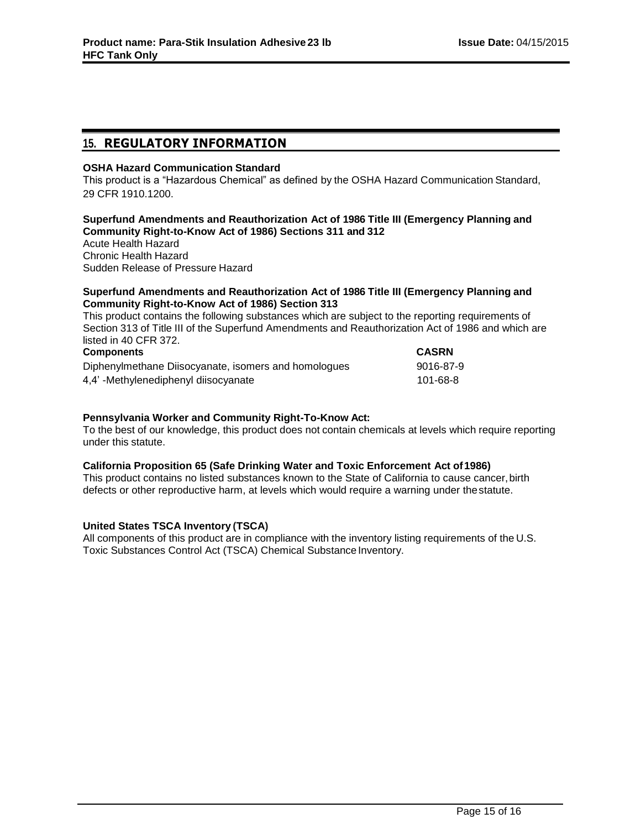## **15. REGULATORY INFORMATION**

## **OSHA Hazard Communication Standard**

This product is a "Hazardous Chemical" as defined by the OSHA Hazard Communication Standard, 29 CFR 1910.1200.

## **Superfund Amendments and Reauthorization Act of 1986 Title III (Emergency Planning and Community Right-to-Know Act of 1986) Sections 311 and 312**

Acute Health Hazard Chronic Health Hazard Sudden Release of Pressure Hazard

## **Superfund Amendments and Reauthorization Act of 1986 Title III (Emergency Planning and Community Right-to-Know Act of 1986) Section 313**

This product contains the following substances which are subject to the reporting requirements of Section 313 of Title III of the Superfund Amendments and Reauthorization Act of 1986 and which are listed in 40 CFR 372.

| <b>Components</b>                                    | <b>CASRN</b> |
|------------------------------------------------------|--------------|
| Diphenylmethane Diisocyanate, isomers and homologues | 9016-87-9    |
| 4,4'-Methylenediphenyl diisocyanate                  | 101-68-8     |

## **Pennsylvania Worker and Community Right-To-Know Act:**

To the best of our knowledge, this product does not contain chemicals at levels which require reporting under this statute.

## **California Proposition 65 (Safe Drinking Water and Toxic Enforcement Act of1986)**

This product contains no listed substances known to the State of California to cause cancer,birth defects or other reproductive harm, at levels which would require a warning under thestatute.

## **United States TSCA Inventory (TSCA)**

All components of this product are in compliance with the inventory listing requirements of the U.S. Toxic Substances Control Act (TSCA) Chemical Substance Inventory.